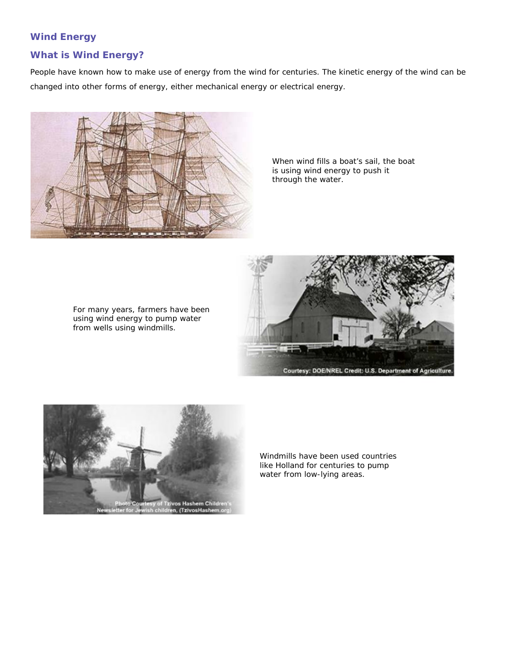### **Wind Energy**

#### **What is Wind Energy?**

People have known how to make use of energy from the wind for centuries. The kinetic energy of the wind can be changed into other forms of energy, either mechanical energy or electrical energy.



When wind fills a boat's sail, the boat is using wind energy to push it through the water.

For many years, farmers have been using wind energy to pump water from wells using windmills.





Windmills have been used countries like Holland for centuries to pump water from low-lying areas.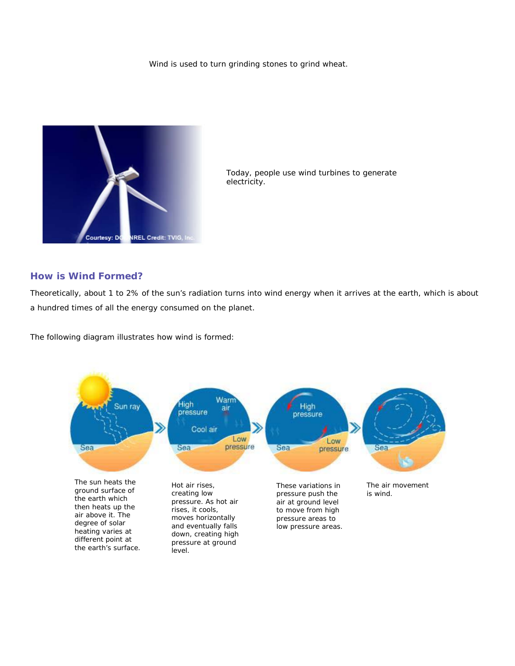Wind is used to turn grinding stones to grind wheat.



Today, people use wind turbines to generate electricity.

#### **How is Wind Formed?**

Theoretically, about 1 to 2% of the sun's radiation turns into wind energy when it arrives at the earth, which is about a hundred times of all the energy consumed on the planet.

The following diagram illustrates how wind is formed:

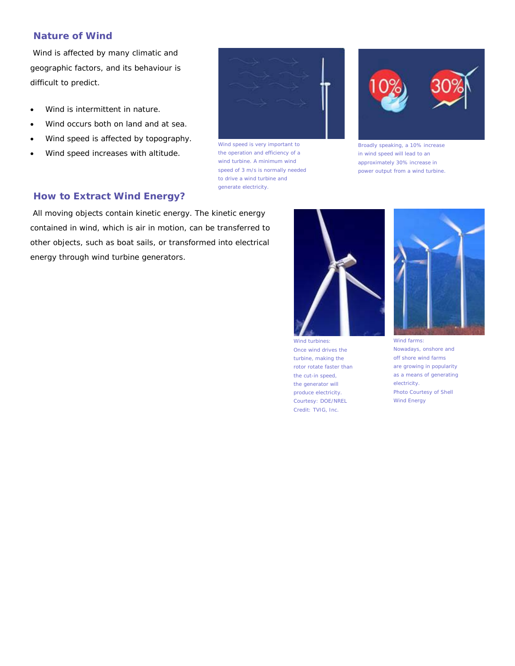### **Nature of Wind**

Wind is affected by many climatic and geographic factors, and its behaviour is difficult to predict.

- Wind is intermittent in nature.
- Wind occurs both on land and at sea.
- Wind speed is affected by topography.
- Wind speed increases with altitude.



Wind speed is very important to the operation and efficiency of a wind turbine. A minimum wind speed of 3 m/s is normally needed to drive a wind turbine and generate electricity.



Broadly speaking, a 10% increase in wind speed will lead to an approximately 30% increase in power output from a wind turbine.

# **How to Extract Wind Energy?**

All moving objects contain kinetic energy. The kinetic energy contained in wind, which is air in motion, can be transferred to other objects, such as boat sails, or transformed into electrical energy through wind turbine generators.



Wind turbines Once wind drives the turbine, making the rotor rotate faster than the cut-in speed, the generator will produce electricity. Courtesy: DOE/NREL Credit: TVIG, Inc.



Wind farms: Nowadays, onshore and off shore wind farms are growing in popularity as a means of generating electricity. Photo Courtesy of Shell Wind Energy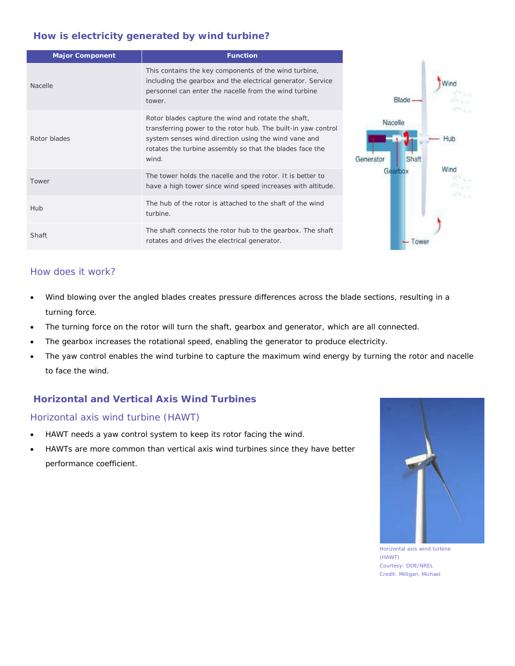# **How is electricity generated by wind turbine?**

| <b>Major Component</b> | <b>Function</b>                                                                                                                                                                                                                                   |                      |
|------------------------|---------------------------------------------------------------------------------------------------------------------------------------------------------------------------------------------------------------------------------------------------|----------------------|
| Nacelle                | This contains the key components of the wind turbine,<br>including the gearbox and the electrical generator. Service<br>personnel can enter the nacelle from the wind turbine<br>tower.                                                           | Blade -              |
| Rotor blades           | Rotor blades capture the wind and rotate the shaft,<br>transferring power to the rotor hub. The built-in yaw control<br>system senses wind direction using the wind vane and<br>rotates the turbine assembly so that the blades face the<br>wind. | Nacelle<br>Generator |
| Tower                  | The tower holds the nacelle and the rotor. It is better to<br>have a high tower since wind speed increases with altitude.                                                                                                                         | Wind                 |
| Hub                    | The hub of the rotor is attached to the shaft of the wind<br>turbine.                                                                                                                                                                             |                      |
| Shaft                  | The shaft connects the rotor hub to the gearbox. The shaft<br>rotates and drives the electrical generator.                                                                                                                                        |                      |

# How does it work?

- Wind blowing over the angled blades creates pressure differences across the blade sections, resulting in a turning force.
- The turning force on the rotor will turn the shaft, gearbox and generator, which are all connected.
- The gearbox increases the rotational speed, enabling the generator to produce electricity.
- The yaw control enables the wind turbine to capture the maximum wind energy by turning the rotor and nacelle to face the wind.

# **Horizontal and Vertical Axis Wind Turbines**

### Horizontal axis wind turbine (HAWT)

- HAWT needs a yaw control system to keep its rotor facing the wind.
- HAWTs are more common than vertical axis wind turbines since they have better performance coefficient.



Horizontal axis wind turbine (HAWT) Courtesy: DOE/NREL Credit: Milligan, Michael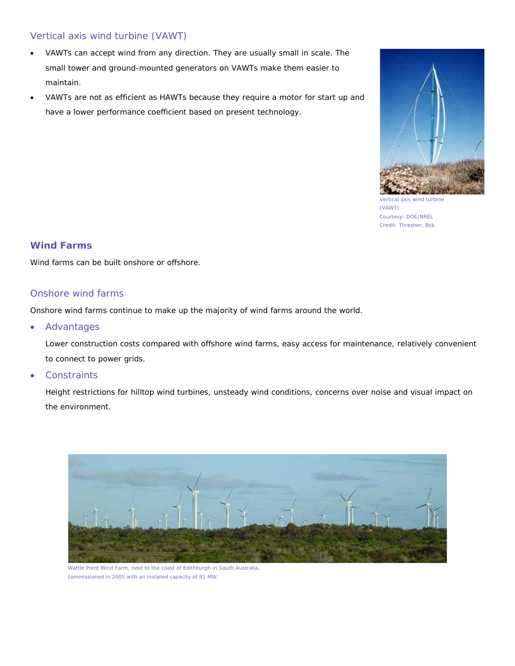# Vertical axis wind turbine (VAWT)

- VAWTs can accept wind from any direction. They are usually small in scale. The small tower and ground-mounted generators on VAWTs make them easier to maintain.
- VAWTs are not as efficient as HAWTs because they require a motor for start up and have a lower performance coefficient based on present technology.



Vertical axis wind turbine (VAWT) Courtesy: DOE/NREL Credit: Thresher, Bob

# **Wind Farms**

Wind farms can be built onshore or offshore.

### Onshore wind farms

Onshore wind farms continue to make up the majority of wind farms around the world.

• Advantages

Lower construction costs compared with offshore wind farms, easy access for maintenance, relatively convenient to connect to power grids.

**Constraints** 

Height restrictions for hilltop wind turbines, unsteady wind conditions, concerns over noise and visual impact on the environment.



Wattle Point Wind Farm, next to the coast of Edithburgh in South Australia, commissioned in 2005 with an installed capacity of 91 MW.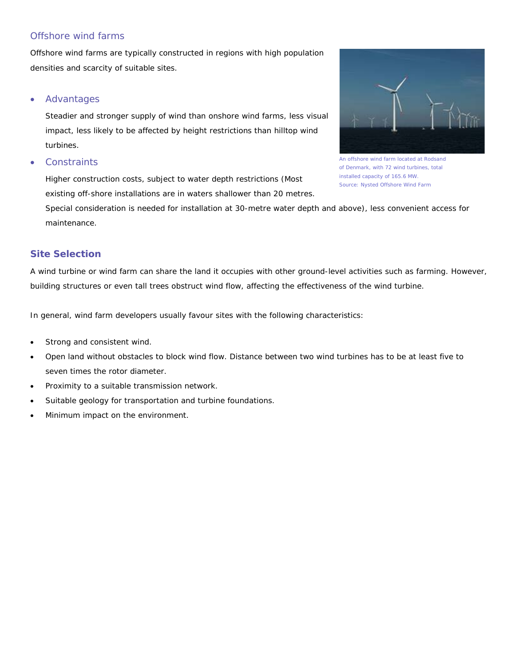# Offshore wind farms

Offshore wind farms are typically constructed in regions with high population densities and scarcity of suitable sites.

#### • Advantages

Steadier and stronger supply of wind than onshore wind farms, less visual impact, less likely to be affected by height restrictions than hilltop wind turbines.

#### **Constraints**

Higher construction costs, subject to water depth restrictions (Most existing off-shore installations are in waters shallower than 20 metres.



An offshore wind farm located at Rodsand of Denmark, with 72 wind turbines, total installed capacity of 165.6 MW. Source: Nysted Offshore Wind Farm

Special consideration is needed for installation at 30-metre water depth and above), less convenient access for maintenance.

# **Site Selection**

A wind turbine or wind farm can share the land it occupies with other ground-level activities such as farming. However, building structures or even tall trees obstruct wind flow, affecting the effectiveness of the wind turbine.

In general, wind farm developers usually favour sites with the following characteristics:

- Strong and consistent wind.
- Open land without obstacles to block wind flow. Distance between two wind turbines has to be at least five to seven times the rotor diameter.
- Proximity to a suitable transmission network.
- Suitable geology for transportation and turbine foundations.
- Minimum impact on the environment.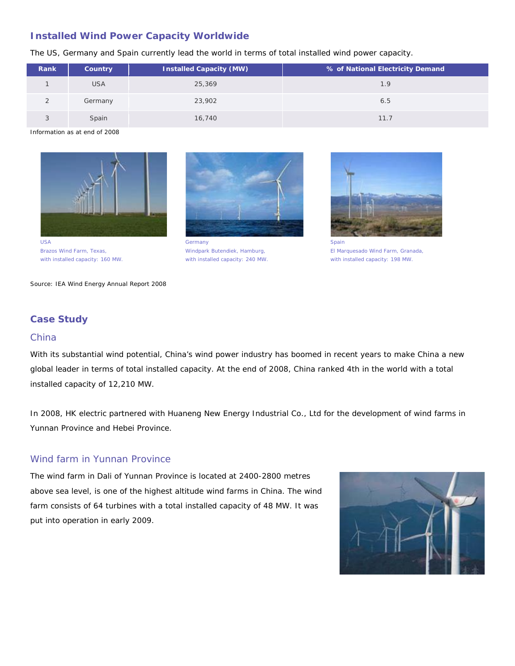# **Installed Wind Power Capacity Worldwide**

The US, Germany and Spain currently lead the world in terms of total installed wind power capacity.

| Rank | Country    | Installed Capacity (MW) | % of National Electricity Demand |
|------|------------|-------------------------|----------------------------------|
|      | <b>USA</b> | 25,369                  | 1.9                              |
|      | Germany    | 23,902                  | 6.5                              |
|      | Spain      | 16,740                  | 11.7                             |

Information as at end of 2008



Brazos Wind Farm, Texas, with installed capacity: 160 MW.



**Germany** Windpark Butendiek, Hamburg, with installed capacity: 240 MW.



Spain El Marquesado Wind Farm, Granada, with installed capacity: 198 MW.

Source: IEA Wind Energy Annual Report 2008

# **Case Study**

#### China

With its substantial wind potential, China's wind power industry has boomed in recent years to make China a new global leader in terms of total installed capacity. At the end of 2008, China ranked 4th in the world with a total installed capacity of 12,210 MW.

In 2008, HK electric partnered with Huaneng New Energy Industrial Co., Ltd for the development of wind farms in Yunnan Province and Hebei Province.

# Wind farm in Yunnan Province

The wind farm in Dali of Yunnan Province is located at 2400-2800 metres above sea level, is one of the highest altitude wind farms in China. The wind farm consists of 64 turbines with a total installed capacity of 48 MW. It was put into operation in early 2009.

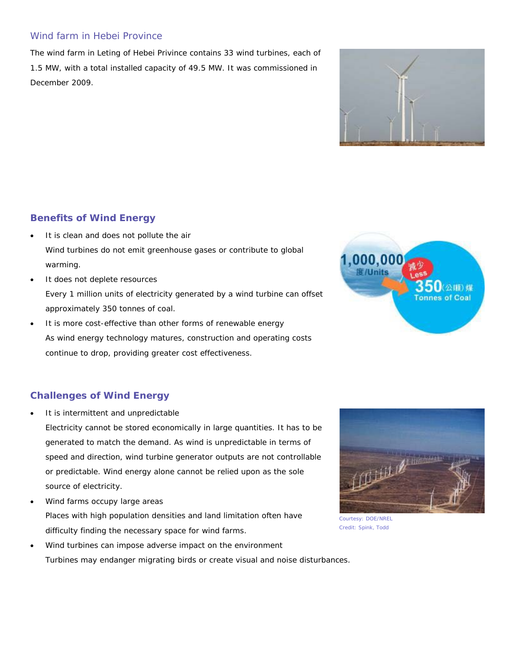# Wind farm in Hebei Province

The wind farm in Leting of Hebei Privince contains 33 wind turbines, each of 1.5 MW, with a total installed capacity of 49.5 MW. It was commissioned in December 2009.



# **Benefits of Wind Energy**

- It is clean and does not pollute the air Wind turbines do not emit greenhouse gases or contribute to global warming.
- It does not deplete resources Every 1 million units of electricity generated by a wind turbine can offset approximately 350 tonnes of coal.
- It is more cost-effective than other forms of renewable energy As wind energy technology matures, construction and operating costs continue to drop, providing greater cost effectiveness.



# **Challenges of Wind Energy**

It is intermittent and unpredictable

Electricity cannot be stored economically in large quantities. It has to be generated to match the demand. As wind is unpredictable in terms of speed and direction, wind turbine generator outputs are not controllable or predictable. Wind energy alone cannot be relied upon as the sole source of electricity.

Wind farms occupy large areas Places with high population densities and land limitation often have difficulty finding the necessary space for wind farms.





Courtesy: DOE/NREL